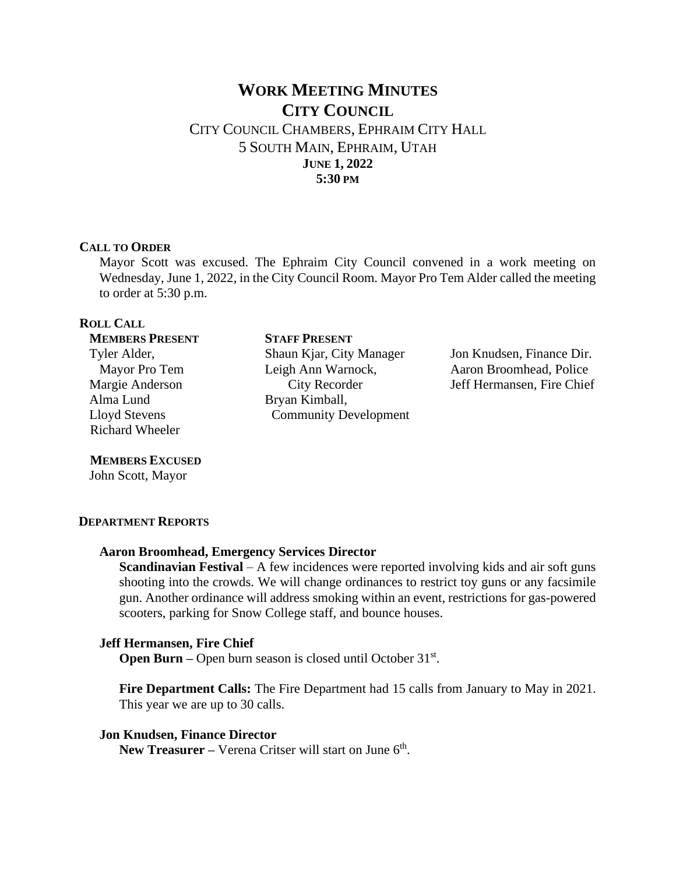# **WORK MEETING MINUTES CITY COUNCIL**  CITY COUNCIL CHAMBERS, EPHRAIM CITY HALL

5 SOUTH MAIN, EPHRAIM, UTAH **JUNE 1, 2022 5:30 PM**

#### **CALL TO ORDER**

Mayor Scott was excused. The Ephraim City Council convened in a work meeting on Wednesday, June 1, 2022, in the City Council Room. Mayor Pro Tem Alder called the meeting to order at 5:30 p.m.

# **ROLL CALL**

#### **STAFF PRESENT**

 Tyler Alder, Mayor Pro Tem Margie Anderson Alma Lund Lloyd Stevens Richard Wheeler

**MEMBERS PRESENT**

# **MEMBERS EXCUSED**

John Scott, Mayor

#### **DEPARTMENT REPORTS**

#### **Aaron Broomhead, Emergency Services Director**

**Scandinavian Festival** – A few incidences were reported involving kids and air soft guns shooting into the crowds. We will change ordinances to restrict toy guns or any facsimile gun. Another ordinance will address smoking within an event, restrictions for gas-powered scooters, parking for Snow College staff, and bounce houses.

### **Jeff Hermansen, Fire Chief**

**Open Burn** – Open burn season is closed until October 31<sup>st</sup>.

**Fire Department Calls:** The Fire Department had 15 calls from January to May in 2021. This year we are up to 30 calls.

#### **Jon Knudsen, Finance Director**

New Treasurer – Verena Critser will start on June 6<sup>th</sup>.

Shaun Kjar, City Manager Leigh Ann Warnock, City Recorder Bryan Kimball, Community Development

Jon Knudsen, Finance Dir. Aaron Broomhead, Police Jeff Hermansen, Fire Chief